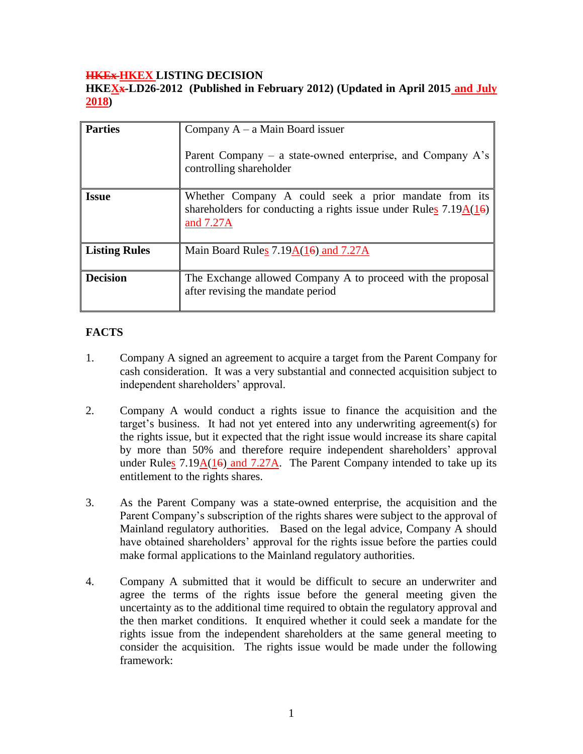### **HKEx HKEX LISTING DECISION**

**HKEXx-LD26-2012 (Published in February 2012) (Updated in April 2015 and July 2018)**

| <b>Parties</b>       | Company $A - a$ Main Board issuer<br>Parent Company – a state-owned enterprise, and Company $A$ 's<br>controlling shareholder                        |
|----------------------|------------------------------------------------------------------------------------------------------------------------------------------------------|
| <b>Issue</b>         | Whether Company A could seek a prior mandate from its<br>shareholders for conducting a rights issue under Rules $7.19\underline{A(16)}$<br>and 7.27A |
| <b>Listing Rules</b> | Main Board Rules $7.19A(16)$ and $7.27A$                                                                                                             |
| <b>Decision</b>      | The Exchange allowed Company A to proceed with the proposal<br>after revising the mandate period                                                     |

### **FACTS**

- 1. Company A signed an agreement to acquire a target from the Parent Company for cash consideration. It was a very substantial and connected acquisition subject to independent shareholders' approval.
- 2. Company A would conduct a rights issue to finance the acquisition and the target's business. It had not yet entered into any underwriting agreement(s) for the rights issue, but it expected that the right issue would increase its share capital by more than 50% and therefore require independent shareholders' approval under Rules  $7.19\underline{A(16)}$  and  $7.27\overline{A}$ . The Parent Company intended to take up its entitlement to the rights shares.
- 3. As the Parent Company was a state-owned enterprise, the acquisition and the Parent Company's subscription of the rights shares were subject to the approval of Mainland regulatory authorities. Based on the legal advice, Company A should have obtained shareholders' approval for the rights issue before the parties could make formal applications to the Mainland regulatory authorities.
- 4. Company A submitted that it would be difficult to secure an underwriter and agree the terms of the rights issue before the general meeting given the uncertainty as to the additional time required to obtain the regulatory approval and the then market conditions. It enquired whether it could seek a mandate for the rights issue from the independent shareholders at the same general meeting to consider the acquisition. The rights issue would be made under the following framework: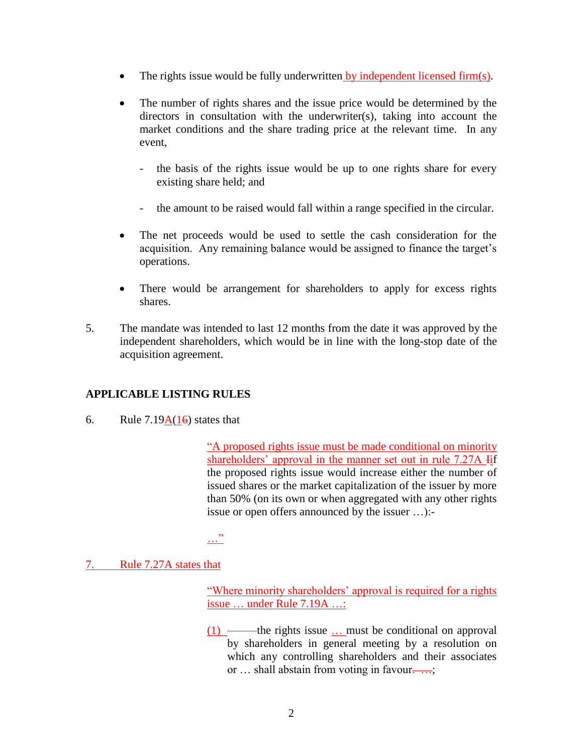- The rights issue would be fully underwritten by independent licensed firm(s).
- The number of rights shares and the issue price would be determined by the directors in consultation with the underwriter(s), taking into account the market conditions and the share trading price at the relevant time. In any event,
	- the basis of the rights issue would be up to one rights share for every existing share held; and
	- the amount to be raised would fall within a range specified in the circular.
- The net proceeds would be used to settle the cash consideration for the acquisition. Any remaining balance would be assigned to finance the target's operations.
- There would be arrangement for shareholders to apply for excess rights shares.
- 5. The mandate was intended to last 12 months from the date it was approved by the independent shareholders, which would be in line with the long-stop date of the acquisition agreement.

## **APPLICABLE LISTING RULES**

6. Rule  $7.19A(16)$  states that

"A proposed rights issue must be made conditional on minority shareholders' approval in the manner set out in rule 7.27A Iif the proposed rights issue would increase either the number of issued shares or the market capitalization of the issuer by more than 50% (on its own or when aggregated with any other rights issue or open offers announced by the issuer …):-

…"

7. Rule 7.27A states that

"Where minority shareholders' approval is required for a rights issue … under Rule 7.19A …:

 $(1)$  — the rights issue  $\ldots$  must be conditional on approval by shareholders in general meeting by a resolution on which any controlling shareholders and their associates or ... shall abstain from voting in favour....;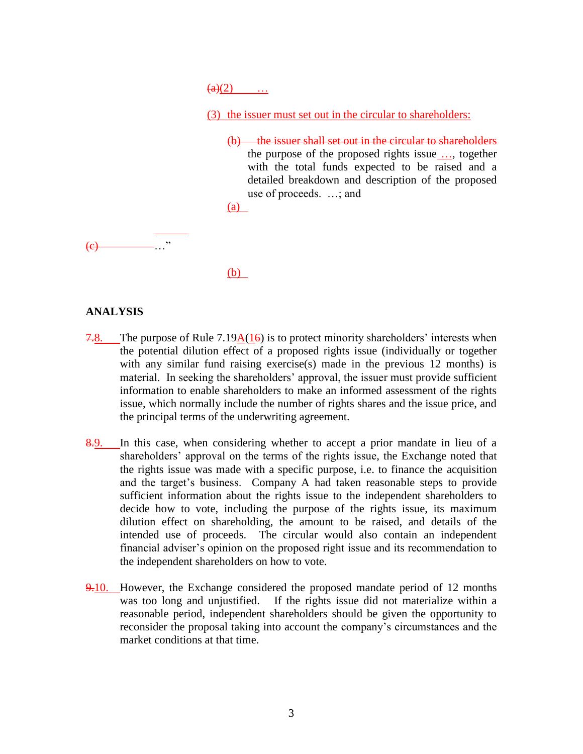$\big( a \big) (2)$  ...

(3) the issuer must set out in the circular to shareholders:

 $(b)$  the issuer shall set out in the circular to shareholders the purpose of the proposed rights issue …, together with the total funds expected to be raised and a detailed breakdown and description of the proposed use of proceeds. …; and

(a)

 $\left(\mathrm{e}\right)$ 

(b)

#### **ANALYSIS**

- 7.8. The purpose of Rule 7.19 $A(16)$  is to protect minority shareholders' interests when the potential dilution effect of a proposed rights issue (individually or together with any similar fund raising exercise(s) made in the previous 12 months) is material. In seeking the shareholders' approval, the issuer must provide sufficient information to enable shareholders to make an informed assessment of the rights issue, which normally include the number of rights shares and the issue price, and the principal terms of the underwriting agreement.
- 8.9. In this case, when considering whether to accept a prior mandate in lieu of a shareholders' approval on the terms of the rights issue, the Exchange noted that the rights issue was made with a specific purpose, i.e. to finance the acquisition and the target's business. Company A had taken reasonable steps to provide sufficient information about the rights issue to the independent shareholders to decide how to vote, including the purpose of the rights issue, its maximum dilution effect on shareholding, the amount to be raised, and details of the intended use of proceeds. The circular would also contain an independent financial adviser's opinion on the proposed right issue and its recommendation to the independent shareholders on how to vote.
- 9.10. However, the Exchange considered the proposed mandate period of 12 months was too long and unjustified. If the rights issue did not materialize within a reasonable period, independent shareholders should be given the opportunity to reconsider the proposal taking into account the company's circumstances and the market conditions at that time.